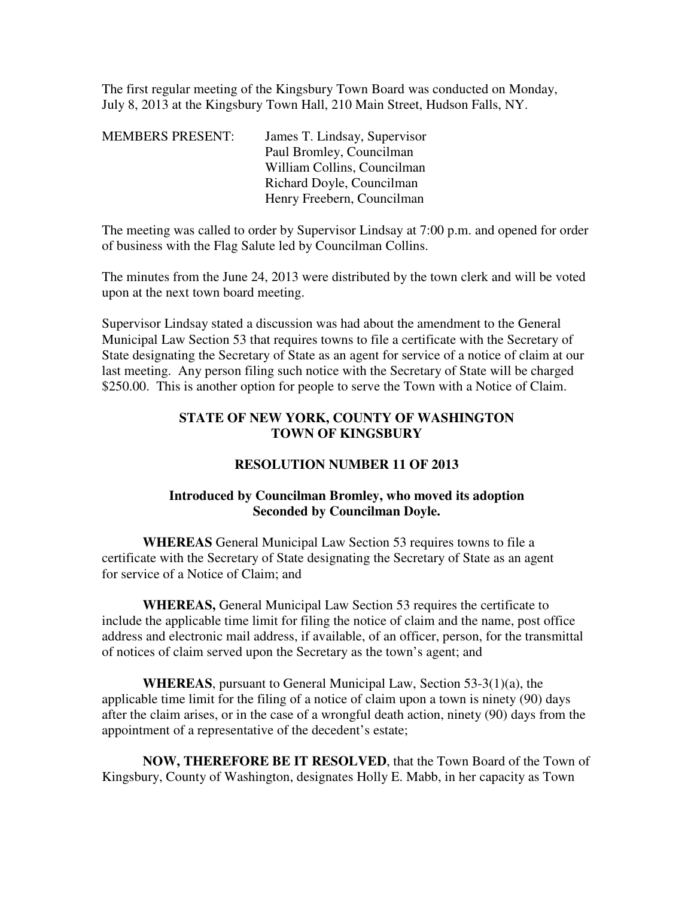The first regular meeting of the Kingsbury Town Board was conducted on Monday, July 8, 2013 at the Kingsbury Town Hall, 210 Main Street, Hudson Falls, NY.

| James T. Lindsay, Supervisor |
|------------------------------|
| Paul Bromley, Councilman     |
| William Collins, Councilman  |
| Richard Doyle, Councilman    |
| Henry Freebern, Councilman   |
|                              |

The meeting was called to order by Supervisor Lindsay at 7:00 p.m. and opened for order of business with the Flag Salute led by Councilman Collins.

The minutes from the June 24, 2013 were distributed by the town clerk and will be voted upon at the next town board meeting.

Supervisor Lindsay stated a discussion was had about the amendment to the General Municipal Law Section 53 that requires towns to file a certificate with the Secretary of State designating the Secretary of State as an agent for service of a notice of claim at our last meeting. Any person filing such notice with the Secretary of State will be charged \$250.00. This is another option for people to serve the Town with a Notice of Claim.

## **STATE OF NEW YORK, COUNTY OF WASHINGTON TOWN OF KINGSBURY**

### **RESOLUTION NUMBER 11 OF 2013**

# **Introduced by Councilman Bromley, who moved its adoption Seconded by Councilman Doyle.**

**WHEREAS** General Municipal Law Section 53 requires towns to file a certificate with the Secretary of State designating the Secretary of State as an agent for service of a Notice of Claim; and

**WHEREAS,** General Municipal Law Section 53 requires the certificate to include the applicable time limit for filing the notice of claim and the name, post office address and electronic mail address, if available, of an officer, person, for the transmittal of notices of claim served upon the Secretary as the town's agent; and

**WHEREAS**, pursuant to General Municipal Law, Section 53-3(1)(a), the applicable time limit for the filing of a notice of claim upon a town is ninety (90) days after the claim arises, or in the case of a wrongful death action, ninety (90) days from the appointment of a representative of the decedent's estate;

**NOW, THEREFORE BE IT RESOLVED**, that the Town Board of the Town of Kingsbury, County of Washington, designates Holly E. Mabb, in her capacity as Town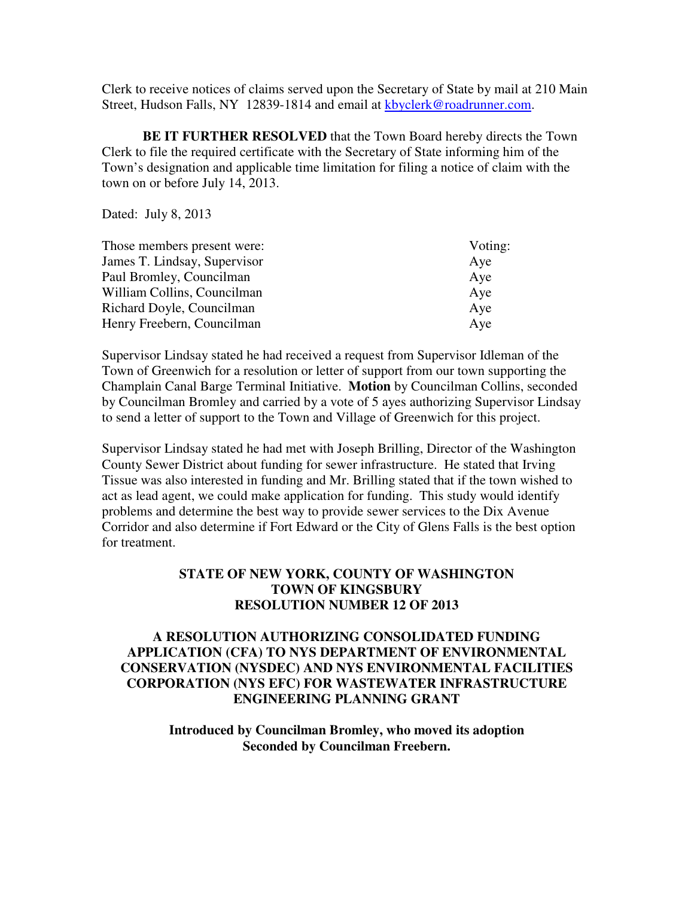Clerk to receive notices of claims served upon the Secretary of State by mail at 210 Main Street, Hudson Falls, NY 12839-1814 and email at kbyclerk@roadrunner.com.

**BE IT FURTHER RESOLVED** that the Town Board hereby directs the Town Clerk to file the required certificate with the Secretary of State informing him of the Town's designation and applicable time limitation for filing a notice of claim with the town on or before July 14, 2013.

Dated: July 8, 2013

| Those members present were:  | Voting: |
|------------------------------|---------|
| James T. Lindsay, Supervisor | Aye     |
| Paul Bromley, Councilman     | Aye     |
| William Collins, Councilman  | Aye     |
| Richard Doyle, Councilman    | Aye     |
| Henry Freebern, Councilman   | Aye     |

Supervisor Lindsay stated he had received a request from Supervisor Idleman of the Town of Greenwich for a resolution or letter of support from our town supporting the Champlain Canal Barge Terminal Initiative. **Motion** by Councilman Collins, seconded by Councilman Bromley and carried by a vote of 5 ayes authorizing Supervisor Lindsay to send a letter of support to the Town and Village of Greenwich for this project.

Supervisor Lindsay stated he had met with Joseph Brilling, Director of the Washington County Sewer District about funding for sewer infrastructure. He stated that Irving Tissue was also interested in funding and Mr. Brilling stated that if the town wished to act as lead agent, we could make application for funding. This study would identify problems and determine the best way to provide sewer services to the Dix Avenue Corridor and also determine if Fort Edward or the City of Glens Falls is the best option for treatment.

### **STATE OF NEW YORK, COUNTY OF WASHINGTON TOWN OF KINGSBURY RESOLUTION NUMBER 12 OF 2013**

### **A RESOLUTION AUTHORIZING CONSOLIDATED FUNDING APPLICATION (CFA) TO NYS DEPARTMENT OF ENVIRONMENTAL CONSERVATION (NYSDEC) AND NYS ENVIRONMENTAL FACILITIES CORPORATION (NYS EFC) FOR WASTEWATER INFRASTRUCTURE ENGINEERING PLANNING GRANT**

**Introduced by Councilman Bromley, who moved its adoption Seconded by Councilman Freebern.**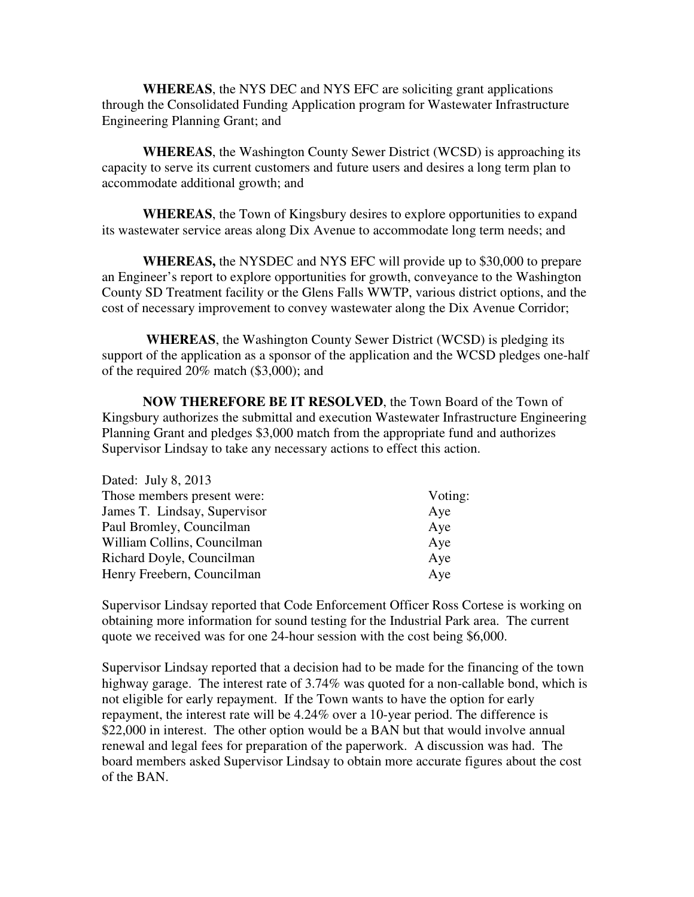**WHEREAS**, the NYS DEC and NYS EFC are soliciting grant applications through the Consolidated Funding Application program for Wastewater Infrastructure Engineering Planning Grant; and

**WHEREAS**, the Washington County Sewer District (WCSD) is approaching its capacity to serve its current customers and future users and desires a long term plan to accommodate additional growth; and

**WHEREAS**, the Town of Kingsbury desires to explore opportunities to expand its wastewater service areas along Dix Avenue to accommodate long term needs; and

**WHEREAS,** the NYSDEC and NYS EFC will provide up to \$30,000 to prepare an Engineer's report to explore opportunities for growth, conveyance to the Washington County SD Treatment facility or the Glens Falls WWTP, various district options, and the cost of necessary improvement to convey wastewater along the Dix Avenue Corridor;

 **WHEREAS**, the Washington County Sewer District (WCSD) is pledging its support of the application as a sponsor of the application and the WCSD pledges one-half of the required 20% match (\$3,000); and

**NOW THEREFORE BE IT RESOLVED**, the Town Board of the Town of Kingsbury authorizes the submittal and execution Wastewater Infrastructure Engineering Planning Grant and pledges \$3,000 match from the appropriate fund and authorizes Supervisor Lindsay to take any necessary actions to effect this action.

| Dated: July 8, 2013          |         |
|------------------------------|---------|
| Those members present were:  | Voting: |
| James T. Lindsay, Supervisor | Aye     |
| Paul Bromley, Councilman     | Aye     |
| William Collins, Councilman  | Aye     |
| Richard Doyle, Councilman    | Aye     |
| Henry Freebern, Councilman   | Aye     |

Supervisor Lindsay reported that Code Enforcement Officer Ross Cortese is working on obtaining more information for sound testing for the Industrial Park area. The current quote we received was for one 24-hour session with the cost being \$6,000.

Supervisor Lindsay reported that a decision had to be made for the financing of the town highway garage. The interest rate of 3.74% was quoted for a non-callable bond, which is not eligible for early repayment. If the Town wants to have the option for early repayment, the interest rate will be 4.24% over a 10-year period. The difference is \$22,000 in interest. The other option would be a BAN but that would involve annual renewal and legal fees for preparation of the paperwork. A discussion was had. The board members asked Supervisor Lindsay to obtain more accurate figures about the cost of the BAN.